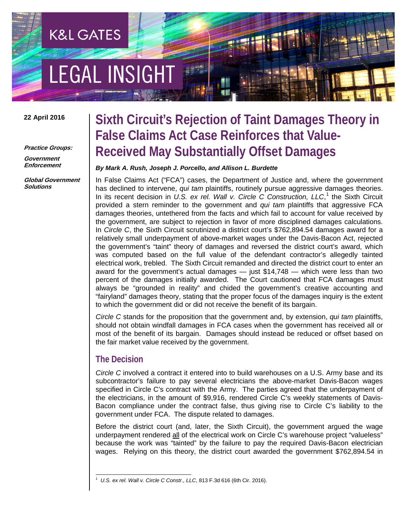# **EGAL INSIGHT**

**K&L GATES** 

#### **22 April 2016**

**Practice Groups:**

**Government Enforcement**

**Global Government Solutions**

### **Sixth Circuit's Rejection of Taint Damages Theory in False Claims Act Case Reinforces that Value-Received May Substantially Offset Damages**

#### *By Mark A. Rush, Joseph J. Porcello, and Allison L. Burdette*

In False Claims Act ("FCA") cases, the Department of Justice and, where the government has declined to intervene, *qui tam* plaintiffs, routinely pursue aggressive damages theories. In its recent decision in *U.S. ex rel. Wall v. Circle C Construction, LLC*, [1](#page-0-0) the Sixth Circuit provided a stern reminder to the government and *qui tam* plaintiffs that aggressive FCA damages theories, untethered from the facts and which fail to account for value received by the government, are subject to rejection in favor of more disciplined damages calculations. In *Circle C*, the Sixth Circuit scrutinized a district court's \$762,894.54 damages award for a relatively small underpayment of above-market wages under the Davis-Bacon Act, rejected the government's "taint" theory of damages and reversed the district court's award, which was computed based on the full value of the defendant contractor's allegedly tainted electrical work, trebled. The Sixth Circuit remanded and directed the district court to enter an award for the government's actual damages — just \$14,748 — which were less than two percent of the damages initially awarded. The Court cautioned that FCA damages must always be "grounded in reality" and chided the government's creative accounting and "fairyland" damages theory, stating that the proper focus of the damages inquiry is the extent to which the government did or did not receive the benefit of its bargain.

*Circle C* stands for the proposition that the government and, by extension, *qui tam* plaintiffs, should not obtain windfall damages in FCA cases when the government has received all or most of the benefit of its bargain. Damages should instead be reduced or offset based on the fair market value received by the government.

#### **The Decision**

*Circle C* involved a contract it entered into to build warehouses on a U.S. Army base and its subcontractor's failure to pay several electricians the above-market Davis-Bacon wages specified in Circle C's contract with the Army. The parties agreed that the underpayment of the electricians, in the amount of \$9,916, rendered Circle C's weekly statements of Davis-Bacon compliance under the contract false, thus giving rise to Circle C's liability to the government under FCA. The dispute related to damages.

Before the district court (and, later, the Sixth Circuit), the government argued the wage underpayment rendered all of the electrical work on Circle C's warehouse project "valueless" because the work was "tainted" by the failure to pay the required Davis-Bacon electrician wages. Relying on this theory, the district court awarded the government \$762,894.54 in

<span id="page-0-0"></span> $\frac{1}{1}$ *U.S. ex rel. Wall v. Circle C Constr., LLC*, 813 F.3d 616 (6th Cir. 2016).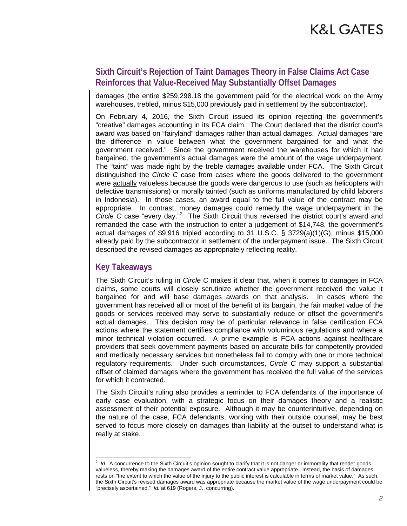### **K&L GATES**

#### **Sixth Circuit's Rejection of Taint Damages Theory in False Claims Act Case Reinforces that Value-Received May Substantially Offset Damages**

damages (the entire \$259,298.18 the government paid for the electrical work on the Army warehouses, trebled, minus \$15,000 previously paid in settlement by the subcontractor).

On February 4, 2016, the Sixth Circuit issued its opinion rejecting the government's "creative" damages accounting in its FCA claim. The Court declared that the district court's award was based on "fairyland" damages rather than actual damages. Actual damages "are the difference in value between what the government bargained for and what the government received." Since the government received the warehouses for which it had bargained, the government's actual damages were the amount of the wage underpayment. The "taint" was made right by the treble damages available under FCA. The Sixth Circuit distinguished the *Circle C* case from cases where the goods delivered to the government were actually valueless because the goods were dangerous to use (such as helicopters with defective transmissions) or morally tainted (such as uniforms manufactured by child laborers in Indonesia). In those cases, an award equal to the full value of the contract may be appropriate. In contrast, money damages could remedy the wage underpayment in the Circle C case "every day."<sup>[2](#page-1-0)</sup> The Sixth Circuit thus reversed the district court's award and remanded the case with the instruction to enter a judgement of \$14,748, the government's actual damages of \$9,916 tripled according to 31 U.S.C.  $\S$  3729(a)(1)(G), minus \$15,000 already paid by the subcontractor in settlement of the underpayment issue. The Sixth Circuit described the revised damages as appropriately reflecting reality.

#### **Key Takeaways**

The Sixth Circuit's ruling in *Circle C* makes it clear that, when it comes to damages in FCA claims, some courts will closely scrutinize whether the government received the value it bargained for and will base damages awards on that analysis. In cases where the government has received all or most of the benefit of its bargain, the fair market value of the goods or services received may serve to substantially reduce or offset the government's actual damages. This decision may be of particular relevance in false certification FCA actions where the statement certifies compliance with voluminous regulations and where a minor technical violation occurred. A prime example is FCA actions against healthcare providers that seek government payments based on accurate bills for competently provided and medically necessary services but nonetheless fail to comply with one or more technical regulatory requirements. Under such circumstances, *Circle C* may support a substantial offset of claimed damages where the government has received the full value of the services for which it contracted.

The Sixth Circuit's ruling also provides a reminder to FCA defendants of the importance of early case evaluation, with a strategic focus on their damages theory and a realistic assessment of their potential exposure. Although it may be counterintuitive, depending on the nature of the case, FCA defendants, working with their outside counsel, may be best served to focus more closely on damages than liability at the outset to understand what is really at stake.

<span id="page-1-0"></span> $\frac{1}{2}$ <sup>2</sup> Id. A concurrence to the Sixth Circuit's opinion sought to clarify that it is not danger or immorality that render goods valueless, thereby making the damages award of the entire contract value appropriate. Instead, the basis of damages rests on "the extent to which the value of the injury to the public interest is calculable in terms of market value." As such, the Sixth Circuit's revised damages award was appropriate because the market value of the wage underpayment could be "precisely ascertained." *Id.* at 619 (Rogers, J., concurring).